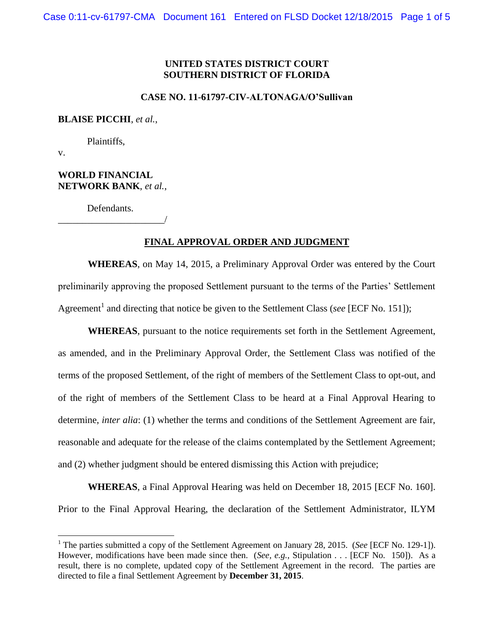### **UNITED STATES DISTRICT COURT SOUTHERN DISTRICT OF FLORIDA**

### **CASE NO. 11-61797-CIV-ALTONAGA/O'Sullivan**

#### **BLAISE PICCHI**, *et al.*,

Plaintiffs,

v.

 $\overline{\phantom{a}}$ 

#### **WORLD FINANCIAL NETWORK BANK**, *et al.*,

Defendants. \_\_\_\_\_\_\_\_\_\_\_\_\_\_\_\_\_\_\_\_\_\_/

#### **FINAL APPROVAL ORDER AND JUDGMENT**

**WHEREAS**, on May 14, 2015, a Preliminary Approval Order was entered by the Court preliminarily approving the proposed Settlement pursuant to the terms of the Parties' Settlement Agreement<sup>1</sup> and directing that notice be given to the Settlement Class (*see* [ECF No. 151]);

**WHEREAS**, pursuant to the notice requirements set forth in the Settlement Agreement, as amended, and in the Preliminary Approval Order, the Settlement Class was notified of the terms of the proposed Settlement, of the right of members of the Settlement Class to opt-out, and of the right of members of the Settlement Class to be heard at a Final Approval Hearing to determine, *inter alia*: (1) whether the terms and conditions of the Settlement Agreement are fair, reasonable and adequate for the release of the claims contemplated by the Settlement Agreement; and (2) whether judgment should be entered dismissing this Action with prejudice;

**WHEREAS**, a Final Approval Hearing was held on December 18, 2015 [ECF No. 160]. Prior to the Final Approval Hearing, the declaration of the Settlement Administrator, ILYM

<sup>1</sup> The parties submitted a copy of the Settlement Agreement on January 28, 2015. (*See* [ECF No. 129-1]). However, modifications have been made since then. (*See, e.g.*, Stipulation . . . [ECF No. 150]). As a result, there is no complete, updated copy of the Settlement Agreement in the record. The parties are directed to file a final Settlement Agreement by **December 31, 2015**.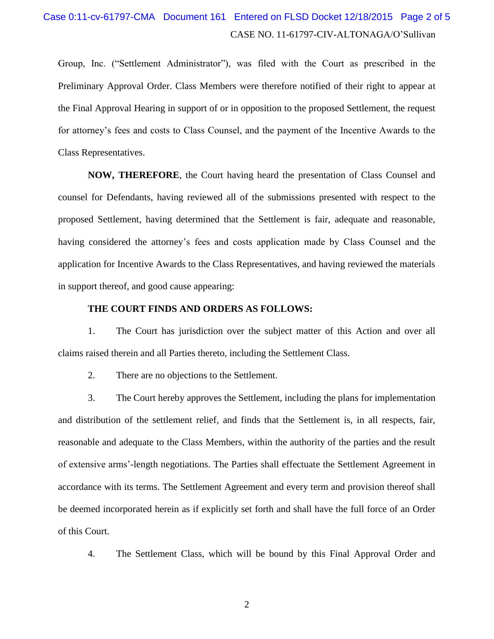# CASE NO. 11-61797-CIV-ALTONAGA/O'Sullivan Case 0:11-cv-61797-CMA Document 161 Entered on FLSD Docket 12/18/2015 Page 2 of 5

Group, Inc. ("Settlement Administrator"), was filed with the Court as prescribed in the Preliminary Approval Order. Class Members were therefore notified of their right to appear at the Final Approval Hearing in support of or in opposition to the proposed Settlement, the request for attorney's fees and costs to Class Counsel, and the payment of the Incentive Awards to the Class Representatives.

**NOW, THEREFORE**, the Court having heard the presentation of Class Counsel and counsel for Defendants, having reviewed all of the submissions presented with respect to the proposed Settlement, having determined that the Settlement is fair, adequate and reasonable, having considered the attorney's fees and costs application made by Class Counsel and the application for Incentive Awards to the Class Representatives, and having reviewed the materials in support thereof, and good cause appearing:

#### **THE COURT FINDS AND ORDERS AS FOLLOWS:**

1. The Court has jurisdiction over the subject matter of this Action and over all claims raised therein and all Parties thereto, including the Settlement Class.

2. There are no objections to the Settlement.

3. The Court hereby approves the Settlement, including the plans for implementation and distribution of the settlement relief, and finds that the Settlement is, in all respects, fair, reasonable and adequate to the Class Members, within the authority of the parties and the result of extensive arms'-length negotiations. The Parties shall effectuate the Settlement Agreement in accordance with its terms. The Settlement Agreement and every term and provision thereof shall be deemed incorporated herein as if explicitly set forth and shall have the full force of an Order of this Court.

4. The Settlement Class, which will be bound by this Final Approval Order and

2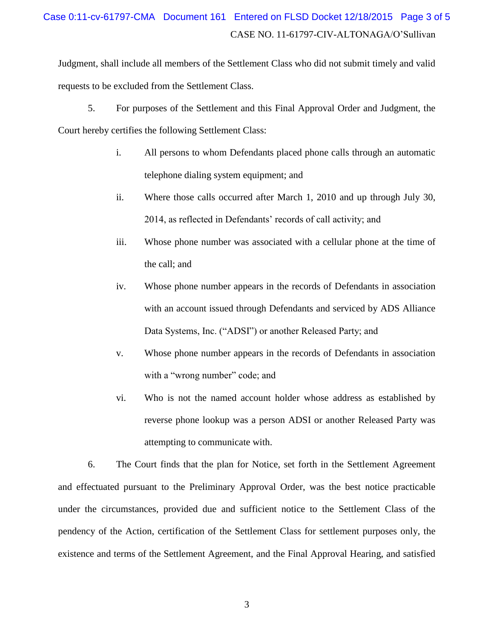# CASE NO. 11-61797-CIV-ALTONAGA/O'Sullivan Case 0:11-cv-61797-CMA Document 161 Entered on FLSD Docket 12/18/2015 Page 3 of 5

Judgment, shall include all members of the Settlement Class who did not submit timely and valid requests to be excluded from the Settlement Class.

5. For purposes of the Settlement and this Final Approval Order and Judgment, the Court hereby certifies the following Settlement Class:

- i. All persons to whom Defendants placed phone calls through an automatic telephone dialing system equipment; and
- ii. Where those calls occurred after March 1, 2010 and up through July 30, 2014, as reflected in Defendants' records of call activity; and
- iii. Whose phone number was associated with a cellular phone at the time of the call; and
- iv. Whose phone number appears in the records of Defendants in association with an account issued through Defendants and serviced by ADS Alliance Data Systems, Inc. ("ADSI") or another Released Party; and
- v. Whose phone number appears in the records of Defendants in association with a "wrong number" code; and
- vi. Who is not the named account holder whose address as established by reverse phone lookup was a person ADSI or another Released Party was attempting to communicate with.

6. The Court finds that the plan for Notice, set forth in the Settlement Agreement and effectuated pursuant to the Preliminary Approval Order, was the best notice practicable under the circumstances, provided due and sufficient notice to the Settlement Class of the pendency of the Action, certification of the Settlement Class for settlement purposes only, the existence and terms of the Settlement Agreement, and the Final Approval Hearing, and satisfied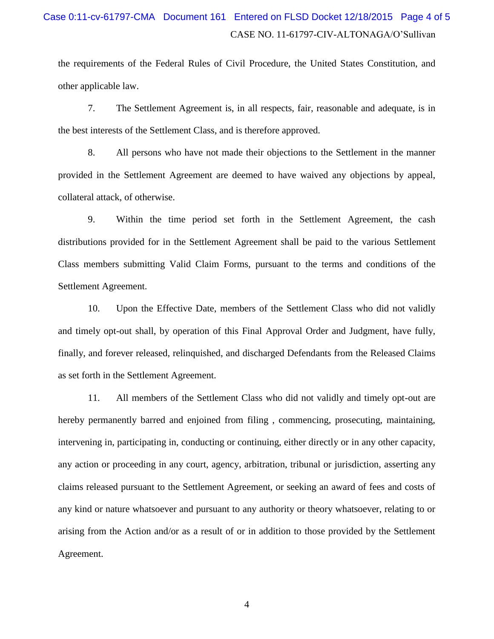## CASE NO. 11-61797-CIV-ALTONAGA/O'Sullivan Case 0:11-cv-61797-CMA Document 161 Entered on FLSD Docket 12/18/2015 Page 4 of 5

the requirements of the Federal Rules of Civil Procedure, the United States Constitution, and other applicable law.

7. The Settlement Agreement is, in all respects, fair, reasonable and adequate, is in the best interests of the Settlement Class, and is therefore approved.

8. All persons who have not made their objections to the Settlement in the manner provided in the Settlement Agreement are deemed to have waived any objections by appeal, collateral attack, of otherwise.

9. Within the time period set forth in the Settlement Agreement, the cash distributions provided for in the Settlement Agreement shall be paid to the various Settlement Class members submitting Valid Claim Forms, pursuant to the terms and conditions of the Settlement Agreement.

10. Upon the Effective Date, members of the Settlement Class who did not validly and timely opt-out shall, by operation of this Final Approval Order and Judgment, have fully, finally, and forever released, relinquished, and discharged Defendants from the Released Claims as set forth in the Settlement Agreement.

11. All members of the Settlement Class who did not validly and timely opt-out are hereby permanently barred and enjoined from filing , commencing, prosecuting, maintaining, intervening in, participating in, conducting or continuing, either directly or in any other capacity, any action or proceeding in any court, agency, arbitration, tribunal or jurisdiction, asserting any claims released pursuant to the Settlement Agreement, or seeking an award of fees and costs of any kind or nature whatsoever and pursuant to any authority or theory whatsoever, relating to or arising from the Action and/or as a result of or in addition to those provided by the Settlement Agreement.

4